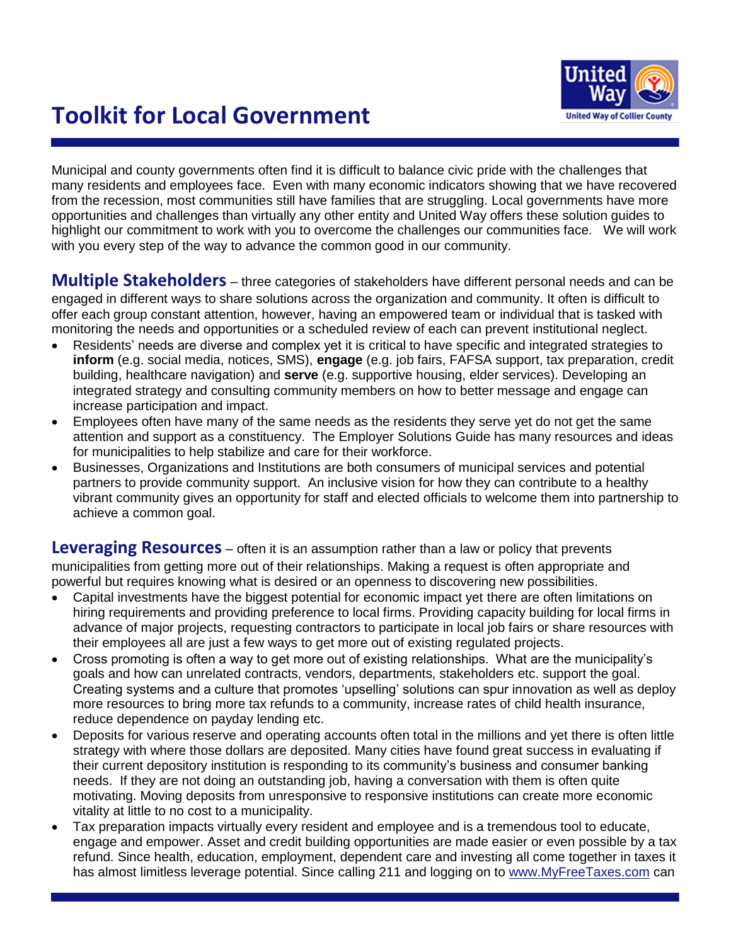

# **Toolkit for Local Government**

Municipal and county governments often find it is difficult to balance civic pride with the challenges that many residents and employees face. Even with many economic indicators showing that we have recovered from the recession, most communities still have families that are struggling. Local governments have more opportunities and challenges than virtually any other entity and United Way offers these solution guides to highlight our commitment to work with you to overcome the challenges our communities face. We will work with you every step of the way to advance the common good in our community.

**Multiple Stakeholders** – three categories of stakeholders have different personal needs and can be engaged in different ways to share solutions across the organization and community. It often is difficult to offer each group constant attention, however, having an empowered team or individual that is tasked with monitoring the needs and opportunities or a scheduled review of each can prevent institutional neglect.

- Residents" needs are diverse and complex yet it is critical to have specific and integrated strategies to **inform** (e.g. social media, notices, SMS), **engage** (e.g. job fairs, FAFSA support, tax preparation, credit building, healthcare navigation) and **serve** (e.g. supportive housing, elder services). Developing an integrated strategy and consulting community members on how to better message and engage can increase participation and impact.
- Employees often have many of the same needs as the residents they serve yet do not get the same attention and support as a constituency. The Employer Solutions Guide has many resources and ideas for municipalities to help stabilize and care for their workforce.
- Businesses, Organizations and Institutions are both consumers of municipal services and potential partners to provide community support. An inclusive vision for how they can contribute to a healthy vibrant community gives an opportunity for staff and elected officials to welcome them into partnership to achieve a common goal.

**Leveraging Resources** – often it is an assumption rather than a law or policy that prevents municipalities from getting more out of their relationships. Making a request is often appropriate and powerful but requires knowing what is desired or an openness to discovering new possibilities.

- Capital investments have the biggest potential for economic impact yet there are often limitations on hiring requirements and providing preference to local firms. Providing capacity building for local firms in advance of major projects, requesting contractors to participate in local job fairs or share resources with their employees all are just a few ways to get more out of existing regulated projects.
- Cross promoting is often a way to get more out of existing relationships. What are the municipality"s goals and how can unrelated contracts, vendors, departments, stakeholders etc. support the goal. Creating systems and a culture that promotes "upselling" solutions can spur innovation as well as deploy more resources to bring more tax refunds to a community, increase rates of child health insurance, reduce dependence on payday lending etc.
- Deposits for various reserve and operating accounts often total in the millions and yet there is often little strategy with where those dollars are deposited. Many cities have found great success in evaluating if their current depository institution is responding to its community"s business and consumer banking needs. If they are not doing an outstanding job, having a conversation with them is often quite motivating. Moving deposits from unresponsive to responsive institutions can create more economic vitality at little to no cost to a municipality.
- Tax preparation impacts virtually every resident and employee and is a tremendous tool to educate, engage and empower. Asset and credit building opportunities are made easier or even possible by a tax refund. Since health, education, employment, dependent care and investing all come together in taxes it has almost limitless leverage potential. Since calling 211 and logging on to [www.MyFreeTaxes.com](http://www.myfreetaxes.com/) can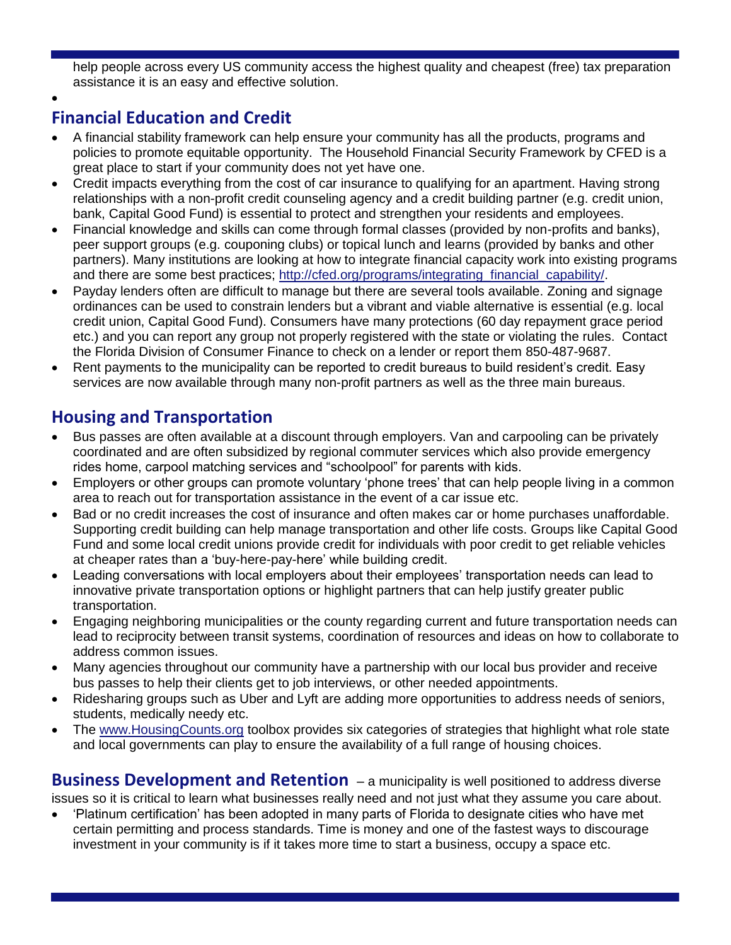help people across every US community access the highest quality and cheapest (free) tax preparation assistance it is an easy and effective solution.

 $\bullet$ 

## **Financial Education and Credit**

- A financial stability framework can help ensure your community has all the products, programs and policies to promote equitable opportunity. The Household Financial Security Framework by CFED is a great place to start if your community does not yet have one.
- Credit impacts everything from the cost of car insurance to qualifying for an apartment. Having strong relationships with a non-profit credit counseling agency and a credit building partner (e.g. credit union, bank, Capital Good Fund) is essential to protect and strengthen your residents and employees.
- Financial knowledge and skills can come through formal classes (provided by non-profits and banks), peer support groups (e.g. couponing clubs) or topical lunch and learns (provided by banks and other partners). Many institutions are looking at how to integrate financial capacity work into existing programs and there are some best practices; [http://cfed.org/programs/integrating\\_financial\\_capability/.](http://cfed.org/programs/integrating_financial_capability/)
- Payday lenders often are difficult to manage but there are several tools available. Zoning and signage ordinances can be used to constrain lenders but a vibrant and viable alternative is essential (e.g. local credit union, Capital Good Fund). Consumers have many protections (60 day repayment grace period etc.) and you can report any group not properly registered with the state or violating the rules. Contact the Florida Division of Consumer Finance to check on a lender or report them 850-487-9687.
- Rent payments to the municipality can be reported to credit bureaus to build resident"s credit. Easy services are now available through many non-profit partners as well as the three main bureaus.

### **Housing and Transportation**

- Bus passes are often available at a discount through employers. Van and carpooling can be privately coordinated and are often subsidized by regional commuter services which also provide emergency rides home, carpool matching services and "schoolpool" for parents with kids.
- Employers or other groups can promote voluntary 'phone trees' that can help people living in a common area to reach out for transportation assistance in the event of a car issue etc.
- Bad or no credit increases the cost of insurance and often makes car or home purchases unaffordable. Supporting credit building can help manage transportation and other life costs. Groups like Capital Good Fund and some local credit unions provide credit for individuals with poor credit to get reliable vehicles at cheaper rates than a "buy-here-pay-here" while building credit.
- Leading conversations with local employers about their employees' transportation needs can lead to innovative private transportation options or highlight partners that can help justify greater public transportation.
- Engaging neighboring municipalities or the county regarding current and future transportation needs can lead to reciprocity between transit systems, coordination of resources and ideas on how to collaborate to address common issues.
- Many agencies throughout our community have a partnership with our local bus provider and receive bus passes to help their clients get to job interviews, or other needed appointments.
- Ridesharing groups such as Uber and Lyft are adding more opportunities to address needs of seniors, students, medically needy etc.
- The [www.HousingCounts.org](http://www.housingcounts.org/) toolbox provides six categories of strategies that highlight what role state and local governments can play to ensure the availability of a full range of housing choices.

**Business Development and Retention** – a municipality is well positioned to address diverse issues so it is critical to learn what businesses really need and not just what they assume you care about.

• 'Platinum certification' has been adopted in many parts of Florida to designate cities who have met certain permitting and process standards. Time is money and one of the fastest ways to discourage investment in your community is if it takes more time to start a business, occupy a space etc.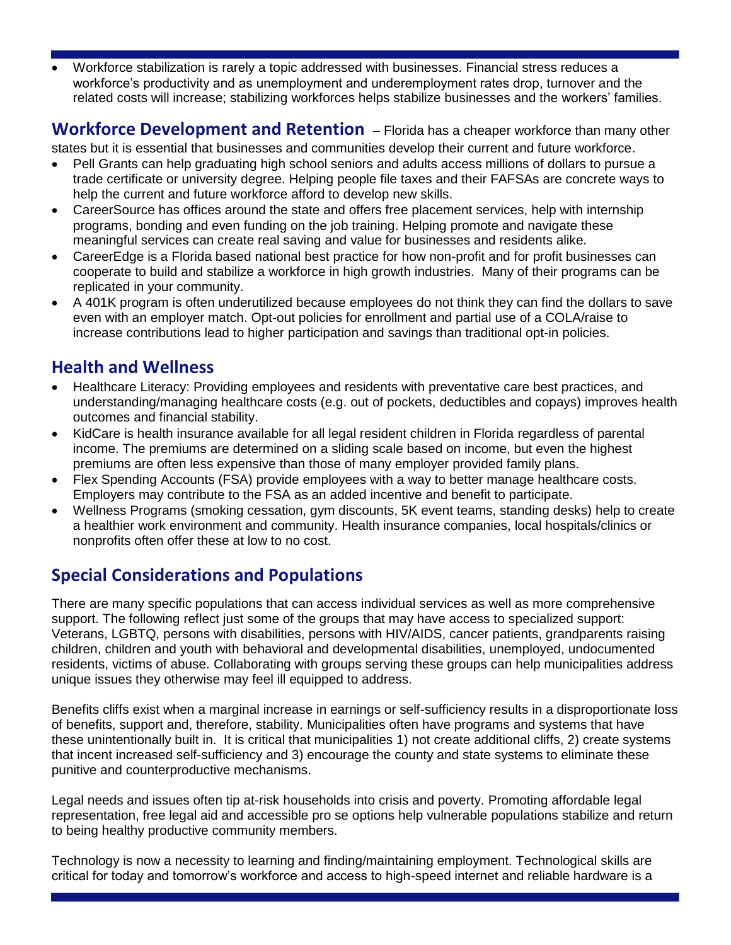Workforce stabilization is rarely a topic addressed with businesses. Financial stress reduces a workforce"s productivity and as unemployment and underemployment rates drop, turnover and the related costs will increase; stabilizing workforces helps stabilize businesses and the workers' families.

#### **Workforce Development and Retention** – Florida has a cheaper workforce than many other

states but it is essential that businesses and communities develop their current and future workforce.

- Pell Grants can help graduating high school seniors and adults access millions of dollars to pursue a trade certificate or university degree. Helping people file taxes and their FAFSAs are concrete ways to help the current and future workforce afford to develop new skills.
- CareerSource has offices around the state and offers free placement services, help with internship programs, bonding and even funding on the job training. Helping promote and navigate these meaningful services can create real saving and value for businesses and residents alike.
- CareerEdge is a Florida based national best practice for how non-profit and for profit businesses can cooperate to build and stabilize a workforce in high growth industries. Many of their programs can be replicated in your community.
- A 401K program is often underutilized because employees do not think they can find the dollars to save even with an employer match. Opt-out policies for enrollment and partial use of a COLA/raise to increase contributions lead to higher participation and savings than traditional opt-in policies.

#### **Health and Wellness**

- Healthcare Literacy: Providing employees and residents with preventative care best practices, and understanding/managing healthcare costs (e.g. out of pockets, deductibles and copays) improves health outcomes and financial stability.
- KidCare is health insurance available for all legal resident children in Florida regardless of parental income. The premiums are determined on a sliding scale based on income, but even the highest premiums are often less expensive than those of many employer provided family plans.
- Flex Spending Accounts (FSA) provide employees with a way to better manage healthcare costs. Employers may contribute to the FSA as an added incentive and benefit to participate.
- Wellness Programs (smoking cessation, gym discounts, 5K event teams, standing desks) help to create a healthier work environment and community. Health insurance companies, local hospitals/clinics or nonprofits often offer these at low to no cost.

#### **Special Considerations and Populations**

There are many specific populations that can access individual services as well as more comprehensive support. The following reflect just some of the groups that may have access to specialized support: Veterans, LGBTQ, persons with disabilities, persons with HIV/AIDS, cancer patients, grandparents raising children, children and youth with behavioral and developmental disabilities, unemployed, undocumented residents, victims of abuse. Collaborating with groups serving these groups can help municipalities address unique issues they otherwise may feel ill equipped to address.

Benefits cliffs exist when a marginal increase in earnings or self-sufficiency results in a disproportionate loss of benefits, support and, therefore, stability. Municipalities often have programs and systems that have these unintentionally built in. It is critical that municipalities 1) not create additional cliffs, 2) create systems that incent increased self-sufficiency and 3) encourage the county and state systems to eliminate these punitive and counterproductive mechanisms.

Legal needs and issues often tip at-risk households into crisis and poverty. Promoting affordable legal representation, free legal aid and accessible pro se options help vulnerable populations stabilize and return to being healthy productive community members.

Technology is now a necessity to learning and finding/maintaining employment. Technological skills are critical for today and tomorrow"s workforce and access to high-speed internet and reliable hardware is a